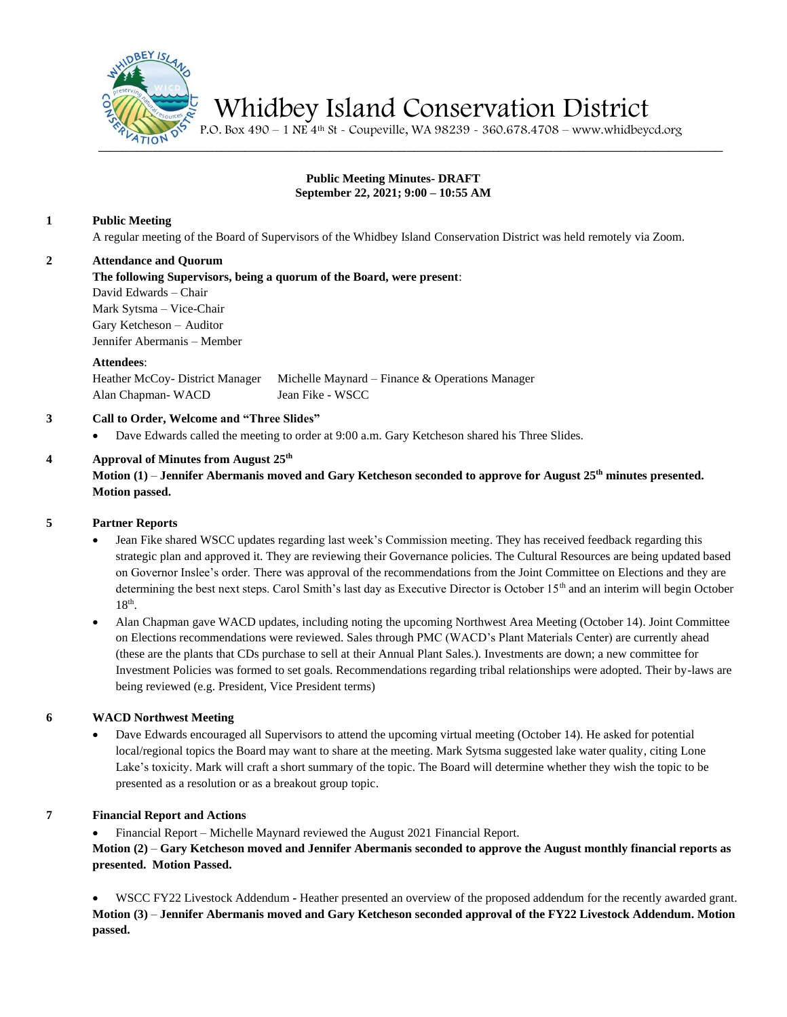

Whidbey Island Conservation District

 $\frac{1}{2710N}$   $\frac{1}{25}$  P.O. Box 490 – 1 NE 4<sup>th</sup> St - Coupeville, WA 98239 - 360.678.4708 – www.whidbeycd.org

### **Public Meeting Minutes- DRAFT September 22, 2021; 9:00 – 10:55 AM**

### **1 Public Meeting**

A regular meeting of the Board of Supervisors of the Whidbey Island Conservation District was held remotely via Zoom.

# **2 Attendance and Quorum**

**The following Supervisors, being a quorum of the Board, were present**:

David Edwards – Chair Mark Sytsma – Vice-Chair Gary Ketcheson – Auditor Jennifer Abermanis – Member

### **Attendees**:

Heather McCoy- District Manager Michelle Maynard – Finance & Operations Manager Alan Chapman- WACD Jean Fike - WSCC

# **3 Call to Order, Welcome and "Three Slides"**

• Dave Edwards called the meeting to order at 9:00 a.m. Gary Ketcheson shared his Three Slides.

# **4 Approval of Minutes from August 25 th**

**Motion (1)** – **Jennifer Abermanis moved and Gary Ketcheson seconded to approve for August 25th minutes presented. Motion passed.**

#### **5 Partner Reports**

- Jean Fike shared WSCC updates regarding last week's Commission meeting. They has received feedback regarding this strategic plan and approved it. They are reviewing their Governance policies. The Cultural Resources are being updated based on Governor Inslee's order. There was approval of the recommendations from the Joint Committee on Elections and they are determining the best next steps. Carol Smith's last day as Executive Director is October 15<sup>th</sup> and an interim will begin October  $18<sup>th</sup>$ .
- Alan Chapman gave WACD updates, including noting the upcoming Northwest Area Meeting (October 14). Joint Committee on Elections recommendations were reviewed. Sales through PMC (WACD's Plant Materials Center) are currently ahead (these are the plants that CDs purchase to sell at their Annual Plant Sales.). Investments are down; a new committee for Investment Policies was formed to set goals. Recommendations regarding tribal relationships were adopted. Their by-laws are being reviewed (e.g. President, Vice President terms)

# **6 WACD Northwest Meeting**

• Dave Edwards encouraged all Supervisors to attend the upcoming virtual meeting (October 14). He asked for potential local/regional topics the Board may want to share at the meeting. Mark Sytsma suggested lake water quality, citing Lone Lake's toxicity. Mark will craft a short summary of the topic. The Board will determine whether they wish the topic to be presented as a resolution or as a breakout group topic.

# **7 Financial Report and Actions**

• Financial Report – Michelle Maynard reviewed the August 2021 Financial Report.

**Motion (2)** – **Gary Ketcheson moved and Jennifer Abermanis seconded to approve the August monthly financial reports as presented. Motion Passed.**

• WSCC FY22 Livestock Addendum **-** Heather presented an overview of the proposed addendum for the recently awarded grant. **Motion (3)** – **Jennifer Abermanis moved and Gary Ketcheson seconded approval of the FY22 Livestock Addendum. Motion passed.**